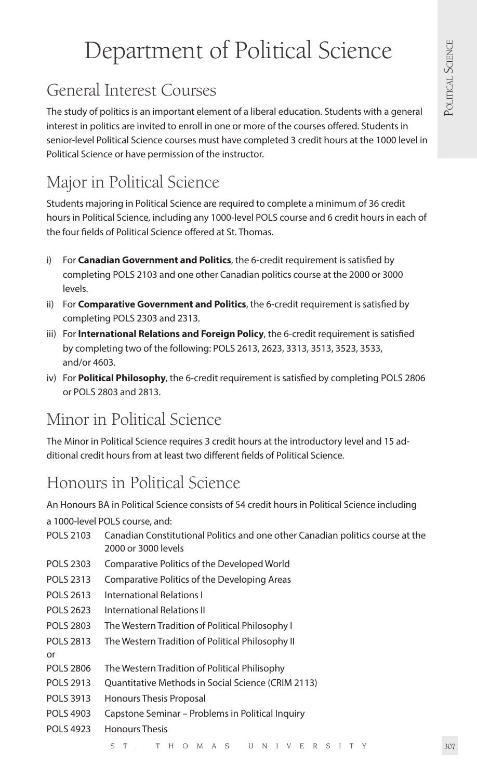# Department of Political Science

# General Interest Courses

The study of politics is an important element of a liberal education. Students with a general interest in politics are invited to enroll in one or more of the courses offered. Students in senior-level Political Science courses must have completed 3 credit hours at the 1000 level in Political Science or have permission of the instructor.

# Major in Political Science

Students majoring in Political Science are required to complete a minimum of 36 credit hours in Political Science, including any 1000-level POLS course and 6 credit hours in each of the four fields of Political Science offered at St. Thomas.

- i) For **Canadian Government and Politics**, the 6-credit requirement is satisfied by completing POLS 2103 and one other Canadian politics course at the 2000 or 3000 levels.
- ii) For **Comparative Government and Politics**, the 6-credit requirement is satisfied by completing POLS 2303 and 2313.
- iii) For **International Relations and Foreign Policy**, the 6-credit requirement is satisfied by completing two of the following: POLS 2613, 2623, 3313, 3513, 3523, 3533, and/or 4603.
- iv) For **Political Philosophy**, the 6-credit requirement is satisfied by completing POLS 2806 or POLS 2803 and 2813.

# Minor in Political Science

The Minor in Political Science requires 3 credit hours at the introductory level and 15 additional credit hours from at least two different fields of Political Science.

# Honours in Political Science

An Honours BA in Political Science consists of 54 credit hours in Political Science including

a 1000-level POLS course, and:

- POLS 2103 Canadian Constitutional Politics and one other Canadian politics course at the 2000 or 3000 levels
- POLS 2303 Comparative Politics of the Developed World
- POLS 2313 Comparative Politics of the Developing Areas
- POLS 2613 International Relations I
- POLS 2623 International Relations II
- POLS 2803 The Western Tradition of Political Philosophy I
- POLS 2813 The Western Tradition of Political Philosophy II
- or
- POLS 2806 The Western Tradition of Political Philisophy
- POLS 2913 Ouantitative Methods in Social Science (CRIM 2113)
- POLS 3913 Honours Thesis Proposal
- POLS 4903 Capstone Seminar Problems in Political Inquiry
- POLS 4923 Honours Thesis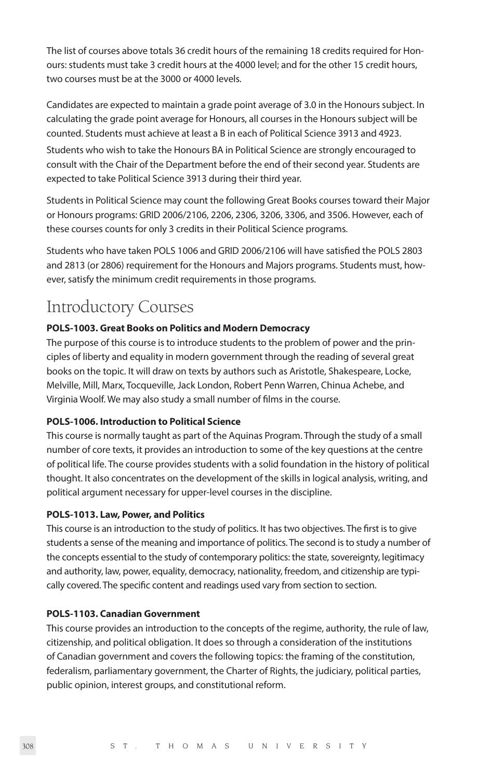The list of courses above totals 36 credit hours of the remaining 18 credits required for Honours: students must take 3 credit hours at the 4000 level; and for the other 15 credit hours, two courses must be at the 3000 or 4000 levels.

Candidates are expected to maintain a grade point average of 3.0 in the Honours subject. In calculating the grade point average for Honours, all courses in the Honours subject will be counted. Students must achieve at least a B in each of Political Science 3913 and 4923. Students who wish to take the Honours BA in Political Science are strongly encouraged to consult with the Chair of the Department before the end of their second year. Students are expected to take Political Science 3913 during their third year.

Students in Political Science may count the following Great Books courses toward their Major or Honours programs: GRID 2006/2106, 2206, 2306, 3206, 3306, and 3506. However, each of these courses counts for only 3 credits in their Political Science programs.

Students who have taken POLS 1006 and GRID 2006/2106 will have satisfied the POLS 2803 and 2813 (or 2806) requirement for the Honours and Majors programs. Students must, however, satisfy the minimum credit requirements in those programs.

# Introductory Courses

#### **POLS-1003. Great Books on Politics and Modern Democracy**

The purpose of this course is to introduce students to the problem of power and the principles of liberty and equality in modern government through the reading of several great books on the topic. It will draw on texts by authors such as Aristotle, Shakespeare, Locke, Melville, Mill, Marx, Tocqueville, Jack London, Robert Penn Warren, Chinua Achebe, and Virginia Woolf. We may also study a small number of films in the course.

#### **POLS-1006. Introduction to Political Science**

This course is normally taught as part of the Aquinas Program. Through the study of a small number of core texts, it provides an introduction to some of the key questions at the centre of political life. The course provides students with a solid foundation in the history of political thought. It also concentrates on the development of the skills in logical analysis, writing, and political argument necessary for upper-level courses in the discipline.

#### **POLS-1013. Law, Power, and Politics**

This course is an introduction to the study of politics. It has two objectives. The first is to give students a sense of the meaning and importance of politics. The second is to study a number of the concepts essential to the study of contemporary politics: the state, sovereignty, legitimacy and authority, law, power, equality, democracy, nationality, freedom, and citizenship are typically covered. The specific content and readings used vary from section to section.

#### **POLS-1103. Canadian Government**

This course provides an introduction to the concepts of the regime, authority, the rule of law, citizenship, and political obligation. It does so through a consideration of the institutions of Canadian government and covers the following topics: the framing of the constitution, federalism, parliamentary government, the Charter of Rights, the judiciary, political parties, public opinion, interest groups, and constitutional reform.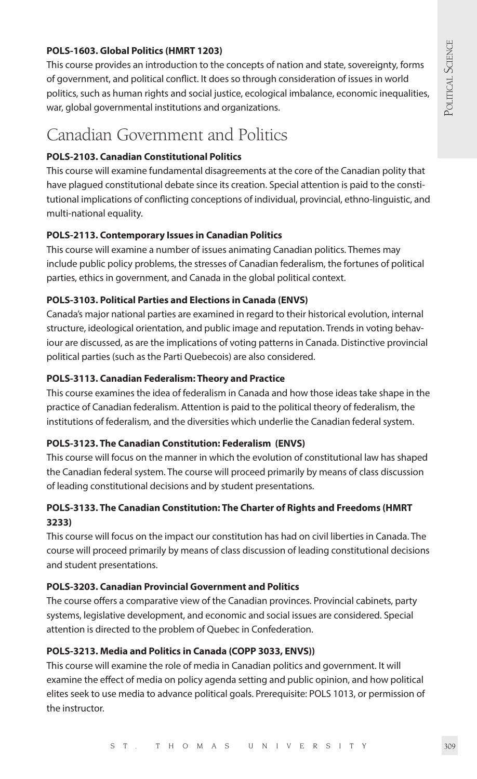#### **POLS-1603. Global Politics (HMRT 1203)**

This course provides an introduction to the concepts of nation and state, sovereignty, forms of government, and political conflict. It does so through consideration of issues in world politics, such as human rights and social justice, ecological imbalance, economic inequalities, war, global governmental institutions and organizations.

### Canadian Government and Politics

#### **POLS-2103. Canadian Constitutional Politics**

This course will examine fundamental disagreements at the core of the Canadian polity that have plagued constitutional debate since its creation. Special attention is paid to the constitutional implications of conflicting conceptions of individual, provincial, ethno-linguistic, and multi-national equality.

#### **POLS-2113. Contemporary Issues in Canadian Politics**

This course will examine a number of issues animating Canadian politics. Themes may include public policy problems, the stresses of Canadian federalism, the fortunes of political parties, ethics in government, and Canada in the global political context.

#### **POLS-3103. Political Parties and Elections in Canada (ENVS)**

Canada's major national parties are examined in regard to their historical evolution, internal structure, ideological orientation, and public image and reputation. Trends in voting behaviour are discussed, as are the implications of voting patterns in Canada. Distinctive provincial political parties (such as the Parti Quebecois) are also considered.

#### **POLS-3113. Canadian Federalism: Theory and Practice**

This course examines the idea of federalism in Canada and how those ideas take shape in the practice of Canadian federalism. Attention is paid to the political theory of federalism, the institutions of federalism, and the diversities which underlie the Canadian federal system.

#### **POLS-3123. The Canadian Constitution: Federalism (ENVS)**

This course will focus on the manner in which the evolution of constitutional law has shaped the Canadian federal system. The course will proceed primarily by means of class discussion of leading constitutional decisions and by student presentations.

#### **POLS-3133. The Canadian Constitution: The Charter of Rights and Freedoms (HMRT 3233)**

This course will focus on the impact our constitution has had on civil liberties in Canada. The course will proceed primarily by means of class discussion of leading constitutional decisions and student presentations.

#### **POLS-3203. Canadian Provincial Government and Politics**

The course offers a comparative view of the Canadian provinces. Provincial cabinets, party systems, legislative development, and economic and social issues are considered. Special attention is directed to the problem of Quebec in Confederation.

#### **POLS-3213. Media and Politics in Canada (COPP 3033, ENVS))**

This course will examine the role of media in Canadian politics and government. It will examine the effect of media on policy agenda setting and public opinion, and how political elites seek to use media to advance political goals. Prerequisite: POLS 1013, or permission of the instructor.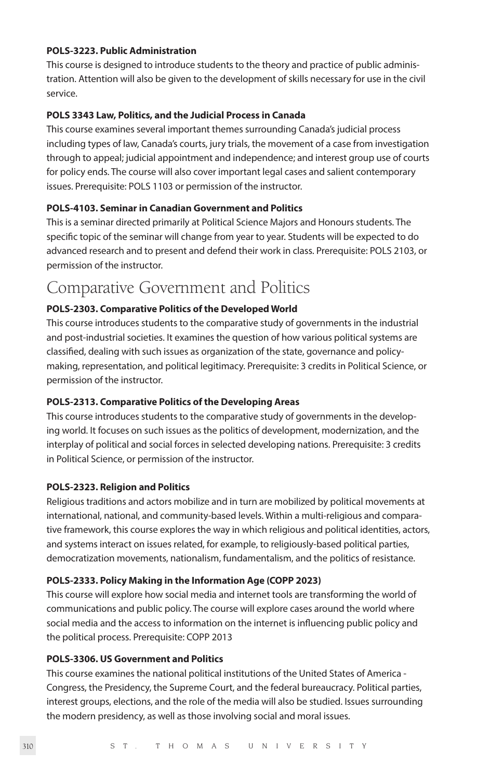#### **POLS-3223. Public Administration**

This course is designed to introduce students to the theory and practice of public administration. Attention will also be given to the development of skills necessary for use in the civil service.

#### **POLS 3343 Law, Politics, and the Judicial Process in Canada**

This course examines several important themes surrounding Canada's judicial process including types of law, Canada's courts, jury trials, the movement of a case from investigation through to appeal; judicial appointment and independence; and interest group use of courts for policy ends. The course will also cover important legal cases and salient contemporary issues. Prerequisite: POLS 1103 or permission of the instructor.

#### **POLS-4103. Seminar in Canadian Government and Politics**

This is a seminar directed primarily at Political Science Majors and Honours students. The specific topic of the seminar will change from year to year. Students will be expected to do advanced research and to present and defend their work in class. Prerequisite: POLS 2103, or permission of the instructor.

### Comparative Government and Politics

#### **POLS-2303. Comparative Politics of the Developed World**

This course introduces students to the comparative study of governments in the industrial and post-industrial societies. It examines the question of how various political systems are classified, dealing with such issues as organization of the state, governance and policymaking, representation, and political legitimacy. Prerequisite: 3 credits in Political Science, or permission of the instructor.

#### **POLS-2313. Comparative Politics of the Developing Areas**

This course introduces students to the comparative study of governments in the developing world. It focuses on such issues as the politics of development, modernization, and the interplay of political and social forces in selected developing nations. Prerequisite: 3 credits in Political Science, or permission of the instructor.

#### **POLS-2323. Religion and Politics**

Religious traditions and actors mobilize and in turn are mobilized by political movements at international, national, and community-based levels. Within a multi-religious and comparative framework, this course explores the way in which religious and political identities, actors, and systems interact on issues related, for example, to religiously-based political parties, democratization movements, nationalism, fundamentalism, and the politics of resistance.

#### **POLS-2333. Policy Making in the Information Age (COPP 2023)**

This course will explore how social media and internet tools are transforming the world of communications and public policy. The course will explore cases around the world where social media and the access to information on the internet is influencing public policy and the political process. Prerequisite: COPP 2013

#### **POLS-3306. US Government and Politics**

This course examines the national political institutions of the United States of America - Congress, the Presidency, the Supreme Court, and the federal bureaucracy. Political parties, interest groups, elections, and the role of the media will also be studied. Issues surrounding the modern presidency, as well as those involving social and moral issues.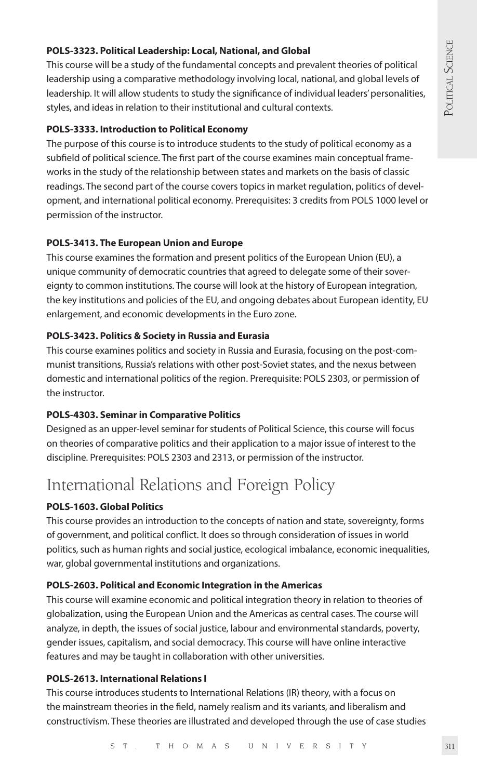#### **POLS-3323. Political Leadership: Local, National, and Global**

This course will be a study of the fundamental concepts and prevalent theories of political leadership using a comparative methodology involving local, national, and global levels of leadership. It will allow students to study the significance of individual leaders' personalities, styles, and ideas in relation to their institutional and cultural contexts.

#### **POLS-3333. Introduction to Political Economy**

The purpose of this course is to introduce students to the study of political economy as a subfield of political science. The first part of the course examines main conceptual frameworks in the study of the relationship between states and markets on the basis of classic readings. The second part of the course covers topics in market regulation, politics of development, and international political economy. Prerequisites: 3 credits from POLS 1000 level or permission of the instructor.

#### **POLS-3413. The European Union and Europe**

This course examines the formation and present politics of the European Union (EU), a unique community of democratic countries that agreed to delegate some of their sovereignty to common institutions. The course will look at the history of European integration, the key institutions and policies of the EU, and ongoing debates about European identity, EU enlargement, and economic developments in the Euro zone.

#### **POLS-3423. Politics & Society in Russia and Eurasia**

This course examines politics and society in Russia and Eurasia, focusing on the post-communist transitions, Russia's relations with other post-Soviet states, and the nexus between domestic and international politics of the region. Prerequisite: POLS 2303, or permission of the instructor.

#### **POLS-4303. Seminar in Comparative Politics**

Designed as an upper-level seminar for students of Political Science, this course will focus on theories of comparative politics and their application to a major issue of interest to the discipline. Prerequisites: POLS 2303 and 2313, or permission of the instructor.

## International Relations and Foreign Policy

#### **POLS-1603. Global Politics**

This course provides an introduction to the concepts of nation and state, sovereignty, forms of government, and political conflict. It does so through consideration of issues in world politics, such as human rights and social justice, ecological imbalance, economic inequalities, war, global governmental institutions and organizations.

#### **POLS-2603. Political and Economic Integration in the Americas**

This course will examine economic and political integration theory in relation to theories of globalization, using the European Union and the Americas as central cases. The course will analyze, in depth, the issues of social justice, labour and environmental standards, poverty, gender issues, capitalism, and social democracy. This course will have online interactive features and may be taught in collaboration with other universities.

#### **POLS-2613. International Relations I**

This course introduces students to International Relations (IR) theory, with a focus on the mainstream theories in the field, namely realism and its variants, and liberalism and constructivism. These theories are illustrated and developed through the use of case studies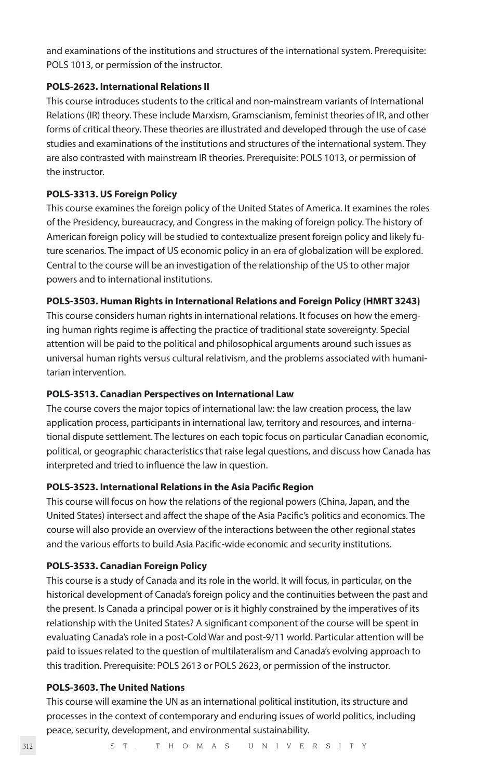and examinations of the institutions and structures of the international system. Prerequisite: POLS 1013, or permission of the instructor.

#### **POLS-2623. International Relations II**

This course introduces students to the critical and non-mainstream variants of International Relations (IR) theory. These include Marxism, Gramscianism, feminist theories of IR, and other forms of critical theory. These theories are illustrated and developed through the use of case studies and examinations of the institutions and structures of the international system. They are also contrasted with mainstream IR theories. Prerequisite: POLS 1013, or permission of the instructor.

#### **POLS-3313. US Foreign Policy**

This course examines the foreign policy of the United States of America. It examines the roles of the Presidency, bureaucracy, and Congress in the making of foreign policy. The history of American foreign policy will be studied to contextualize present foreign policy and likely future scenarios. The impact of US economic policy in an era of globalization will be explored. Central to the course will be an investigation of the relationship of the US to other major powers and to international institutions.

#### **POLS-3503. Human Rights in International Relations and Foreign Policy (HMRT 3243)**

This course considers human rights in international relations. It focuses on how the emerging human rights regime is affecting the practice of traditional state sovereignty. Special attention will be paid to the political and philosophical arguments around such issues as universal human rights versus cultural relativism, and the problems associated with humanitarian intervention.

#### **POLS-3513. Canadian Perspectives on International Law**

The course covers the major topics of international law: the law creation process, the law application process, participants in international law, territory and resources, and international dispute settlement. The lectures on each topic focus on particular Canadian economic, political, or geographic characteristics that raise legal questions, and discuss how Canada has interpreted and tried to influence the law in question.

#### **POLS-3523. International Relations in the Asia Pacific Region**

This course will focus on how the relations of the regional powers (China, Japan, and the United States) intersect and affect the shape of the Asia Pacific's politics and economics. The course will also provide an overview of the interactions between the other regional states and the various efforts to build Asia Pacific-wide economic and security institutions.

#### **POLS-3533. Canadian Foreign Policy**

This course is a study of Canada and its role in the world. It will focus, in particular, on the historical development of Canada's foreign policy and the continuities between the past and the present. Is Canada a principal power or is it highly constrained by the imperatives of its relationship with the United States? A significant component of the course will be spent in evaluating Canada's role in a post-Cold War and post-9/11 world. Particular attention will be paid to issues related to the question of multilateralism and Canada's evolving approach to this tradition. Prerequisite: POLS 2613 or POLS 2623, or permission of the instructor.

#### **POLS-3603. The United Nations**

This course will examine the UN as an international political institution, its structure and processes in the context of contemporary and enduring issues of world politics, including peace, security, development, and environmental sustainability.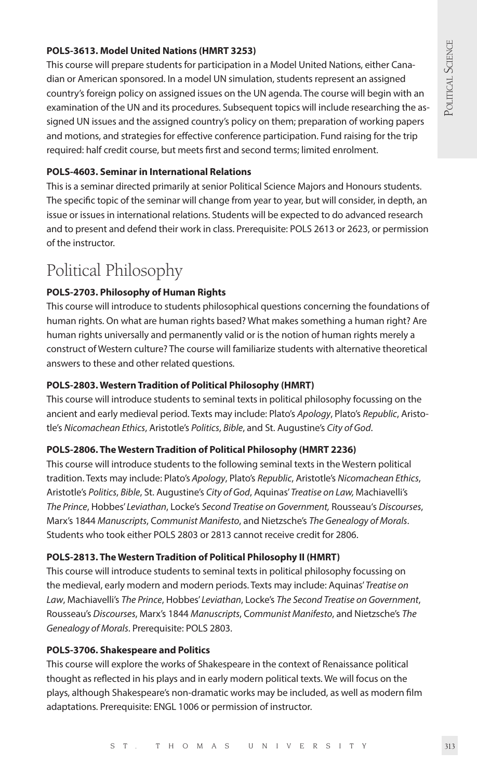#### **POLS-3613. Model United Nations (HMRT 3253)**

This course will prepare students for participation in a Model United Nations, either Canadian or American sponsored. In a model UN simulation, students represent an assigned country's foreign policy on assigned issues on the UN agenda. The course will begin with an examination of the UN and its procedures. Subsequent topics will include researching the assigned UN issues and the assigned country's policy on them; preparation of working papers and motions, and strategies for effective conference participation. Fund raising for the trip required: half credit course, but meets first and second terms; limited enrolment.

#### **POLS-4603. Seminar in International Relations**

This is a seminar directed primarily at senior Political Science Majors and Honours students. The specific topic of the seminar will change from year to year, but will consider, in depth, an issue or issues in international relations. Students will be expected to do advanced research and to present and defend their work in class. Prerequisite: POLS 2613 or 2623, or permission of the instructor.

### Political Philosophy

#### **POLS-2703. Philosophy of Human Rights**

This course will introduce to students philosophical questions concerning the foundations of human rights. On what are human rights based? What makes something a human right? Are human rights universally and permanently valid or is the notion of human rights merely a construct of Western culture? The course will familiarize students with alternative theoretical answers to these and other related questions.

#### **POLS-2803. Western Tradition of Political Philosophy (HMRT)**

This course will introduce students to seminal texts in political philosophy focussing on the ancient and early medieval period. Texts may include: Plato's *Apology*, Plato's *Republic*, Aristotle's *Nicomachean Ethics*, Aristotle's *Politics*, *Bible*, and St. Augustine's *City of God*.

#### **POLS-2806. The Western Tradition of Political Philosophy (HMRT 2236)**

This course will introduce students to the following seminal texts in the Western political tradition. Texts may include: Plato's *Apology*, Plato's *Republic*, Aristotle's *Nicomachean Ethics*, Aristotle's *Politics*, *Bible*, St. Augustine's *City of God*, Aquinas' *Treatise on Law,* Machiavelli's *The Prince*, Hobbes' *Leviathan*, Locke's *Second Treatise on Government,* Rousseau's *Discourses*, Marx's 1844 *Manuscripts*, C*ommunist Manifesto*, and Nietzsche's *The Genealogy of Morals*. Students who took either POLS 2803 or 2813 cannot receive credit for 2806.

#### **POLS-2813. The Western Tradition of Political Philosophy II (HMRT)**

This course will introduce students to seminal texts in political philosophy focussing on the medieval, early modern and modern periods. Texts may include: Aquinas' *Treatise on Law*, Machiavelli's *The Prince*, Hobbes' *Leviathan*, Locke's *The Second Treatise on Government*, Rousseau's *Discourses*, Marx's 1844 *Manuscripts*, C*ommunist Manifesto*, and Nietzsche's *The Genealogy of Morals*. Prerequisite: POLS 2803.

#### **POLS-3706. Shakespeare and Politics**

This course will explore the works of Shakespeare in the context of Renaissance political thought as reflected in his plays and in early modern political texts. We will focus on the plays, although Shakespeare's non-dramatic works may be included, as well as modern film adaptations. Prerequisite: ENGL 1006 or permission of instructor.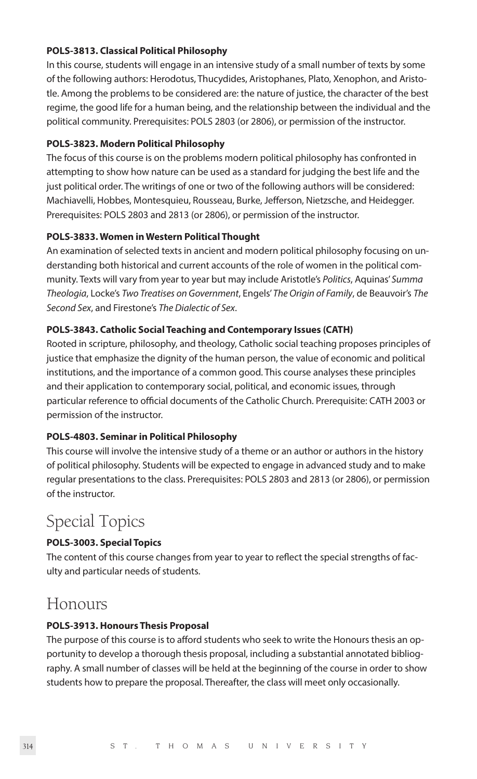#### **POLS-3813. Classical Political Philosophy**

In this course, students will engage in an intensive study of a small number of texts by some of the following authors: Herodotus, Thucydides, Aristophanes, Plato, Xenophon, and Aristotle. Among the problems to be considered are: the nature of justice, the character of the best regime, the good life for a human being, and the relationship between the individual and the political community. Prerequisites: POLS 2803 (or 2806), or permission of the instructor.

#### **POLS-3823. Modern Political Philosophy**

The focus of this course is on the problems modern political philosophy has confronted in attempting to show how nature can be used as a standard for judging the best life and the just political order. The writings of one or two of the following authors will be considered: Machiavelli, Hobbes, Montesquieu, Rousseau, Burke, Jefferson, Nietzsche, and Heidegger. Prerequisites: POLS 2803 and 2813 (or 2806), or permission of the instructor.

#### **POLS-3833. Women in Western Political Thought**

An examination of selected texts in ancient and modern political philosophy focusing on understanding both historical and current accounts of the role of women in the political community. Texts will vary from year to year but may include Aristotle's *Politics*, Aquinas' *Summa Theologia*, Locke's *Two Treatises on Government*, Engels' *The Origin of Family*, de Beauvoir's *The Second Sex*, and Firestone's *The Dialectic of Sex*.

#### **POLS-3843. Catholic Social Teaching and Contemporary Issues (CATH)**

Rooted in scripture, philosophy, and theology, Catholic social teaching proposes principles of justice that emphasize the dignity of the human person, the value of economic and political institutions, and the importance of a common good. This course analyses these principles and their application to contemporary social, political, and economic issues, through particular reference to official documents of the Catholic Church. Prerequisite: CATH 2003 or permission of the instructor.

#### **POLS-4803. Seminar in Political Philosophy**

This course will involve the intensive study of a theme or an author or authors in the history of political philosophy. Students will be expected to engage in advanced study and to make regular presentations to the class. Prerequisites: POLS 2803 and 2813 (or 2806), or permission of the instructor.

### Special Topics

#### **POLS-3003. Special Topics**

The content of this course changes from year to year to reflect the special strengths of faculty and particular needs of students.

### Honours

#### **POLS-3913. Honours Thesis Proposal**

The purpose of this course is to afford students who seek to write the Honours thesis an opportunity to develop a thorough thesis proposal, including a substantial annotated bibliography. A small number of classes will be held at the beginning of the course in order to show students how to prepare the proposal. Thereafter, the class will meet only occasionally.